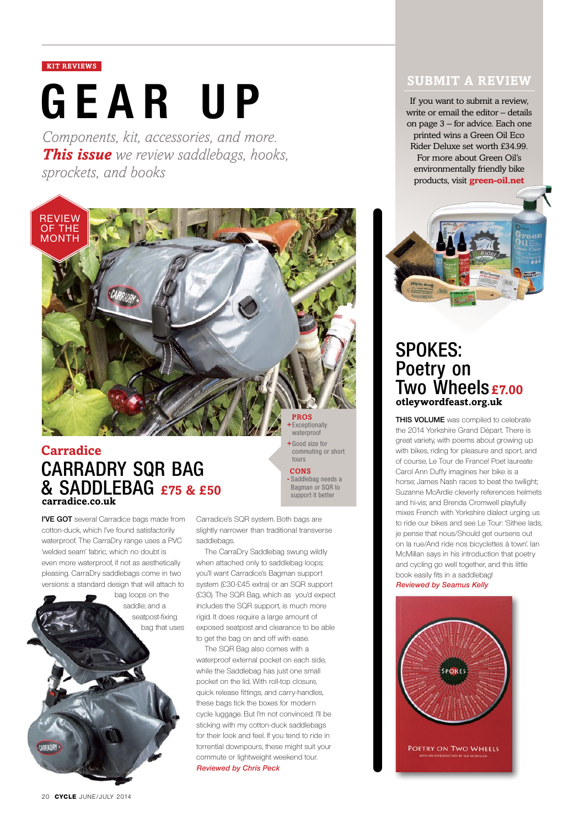#### **KIT REVIEWS**

# **GEAR UP** If you want to submit a review,<br>write or email the editor – details

*Components, kit, accessories, and more. This issue we review saddlebags, hooks, sprockets, and books*



## **Carradice CarraDry SQR Bag & Saddlebag £75 & £50 carradice.co.uk**

**I'VE GOT** several Carradice bags made from cotton-duck, which I've found satisfactorily waterproof. The CarraDry range uses a PVC 'welded seam' fabric, which no doubt is even more waterproof, if not as aesthetically pleasing. CarraDry saddlebags come in two versions: a standard design that will attach to



**+**Good size for commuting or short tours **cons -** Saddlebag needs a Bagman or SQR to support it better

Carradice's SQR system. Both bags are slightly narrower than traditional transverse saddlebags.

The CarraDry Saddlebag swung wildly when attached only to saddlebag loops; you'll want Carradice's Bagman support system (£30-£45 extra) or an SQR support (£30). The SQR Bag, which as you'd expect includes the SQR support, is much more rigid. It does require a large amount of exposed seatpost and clearance to be able to get the bag on and off with ease.

The SQR Bag also comes with a waterproof external pocket on each side, while the Saddlebag has just one small pocket on the lid. With roll-top closure, quick release fittings, and carry-handles, these bags tick the boxes for modern cycle luggage. But I'm not convinced: I'll be sticking with my cotton-duck saddlebags for their look and feel. If you tend to ride in torrential downpours, these might suit your commute or lightweight weekend tour. **Reviewed by Chris Peck**

#### **submit a review**

write or email the editor – details on page 3 – for advice. Each one printed wins a Green Oil Eco Rider Deluxe set worth £34.99. For more about Green Oil's environmentally friendly bike products, visit **green-oil.net**



# **Spokes: Poetry on Two Wheels £7.00 otleywordfeast.org.uk**

**This volume** was compiled to celebrate the 2014 Yorkshire Grand Départ. There is great variety, with poems about growing up with bikes, riding for pleasure and sport, and of course, Le Tour de France! Poet laureate Carol Ann Duffy imagines her bike is a horse; James Nash races to beat the twilight; Suzanne McArdle cleverly references helmets and hi-vis; and Brenda Cromwell playfully mixes French with Yorkshire dialect urging us to ride our bikes and see Le Tour: 'Sithee lads, je pense that nous/Should get oursens out on la rue/And ride nos bicyclettes à town'. Ian McMillan says in his introduction that poetry and cycling go well together, and this little book easily fits in a saddlebag! **Reviewed by Seamus Kelly**

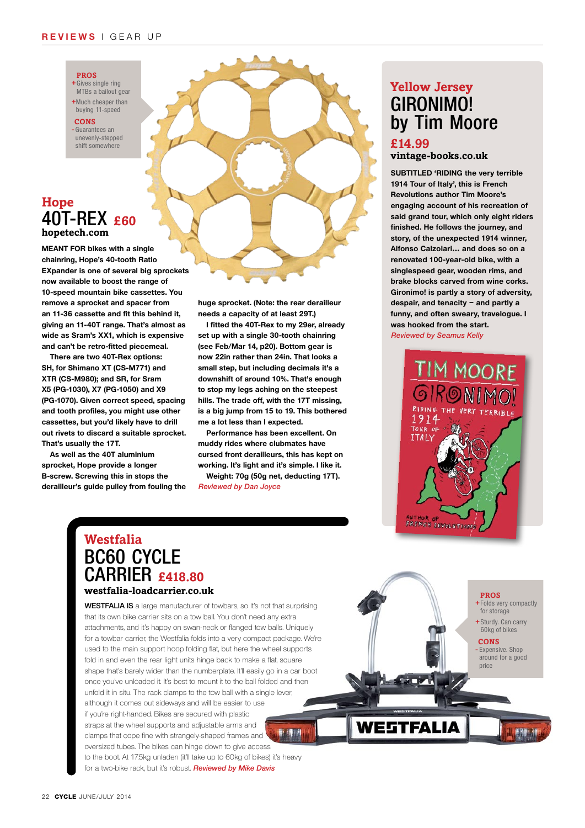#### **RE V I E W S** | g e ar u p

#### **Pros**

**+**Gives single ring MTBs a bailout gear **+**Much cheaper than

buying 11-speed

**cons -** Guarantees an

unevenly-stepped shift somewhere

### **Hope 40T-Rex £60 hopetech.com**

**Meant for bikes with a single chainring, Hope's 40-tooth Ratio EXpander is one of several big sprockets now available to boost the range of 10-speed mountain bike cassettes. You remove a sprocket and spacer from an 11-36 cassette and fit this behind it, giving an 11-40T range. That's almost as wide as Sram's XX1, which is expensive and can't be retro-fitted piecemeal.** 

**There are two 40T-Rex options: SH, for Shimano XT (CS-M771) and XTR (CS-M980); and SR, for Sram X5 (PG-1030), X7 (PG-1050) and X9 (PG-1070). Given correct speed, spacing and tooth profiles, you might use other cassettes, but you'd likely have to drill out rivets to discard a suitable sprocket. That's usually the 17T.** 

**As well as the 40T aluminium sprocket, Hope provide a longer B-screw. Screwing this in stops the derailleur's guide pulley from fouling the**  **huge sprocket. (Note: the rear derailleur needs a capacity of at least 29T.)**

**I fitted the 40T-Rex to my 29er, already set up with a single 30-tooth chainring (see Feb/Mar 14, p20). Bottom gear is now 22in rather than 24in. That looks a small step, but including decimals it's a downshift of around 10%. That's enough to stop my legs aching on the steepest hills. The trade off, with the 17T missing, is a big jump from 15 to 19. This bothered me a lot less than I expected.**

**Performance has been excellent. On muddy rides where clubmates have cursed front derailleurs, this has kept on working. It's light and it's simple. I like it. Weight: 70g (50g net, deducting 17T).** 

**Reviewed by Dan Joyce**

# **Gironimo! by Tim Moore £14.99 Yellow Jersey**

**vintage-books.co.uk**

**SUBTITLED 'RIDING the very terrible 1914 Tour of Italy', this is French Revolutions author Tim Moore's engaging account of his recreation of said grand tour, which only eight riders finished. He follows the journey, and story, of the unexpected 1914 winner, Alfonso Calzolari… and does so on a renovated 100-year-old bike, with a singlespeed gear, wooden rims, and brake blocks carved from wine corks. Gironimo! is partly a story of adversity, despair, and tenacity – and partly a funny, and often sweary, travelogue. I was hooked from the start. Reviewed by Seamus Kelly**



## **Westfalia BC60 Cycle Carrier £418.80 westfalia-loadcarrier.co.uk**

**WESTFALIA IS** a large manufacturer of towbars, so it's not that surprising that its own bike carrier sits on a tow ball. You don't need any extra attachments, and it's happy on swan-neck or flanged tow balls. Uniquely for a towbar carrier, the Westfalia folds into a very compact package. We're used to the main support hoop folding flat, but here the wheel supports fold in and even the rear light units hinge back to make a flat, square shape that's barely wider than the numberplate. It'll easily go in a car boot once you've unloaded it. It's best to mount it to the ball folded and then unfold it in situ. The rack clamps to the tow ball with a single lever, although it comes out sideways and will be easier to use if you're right-handed. Bikes are secured with plastic straps at the wheel supports and adjustable arms and clamps that cope fine with strangely-shaped frames and oversized tubes. The bikes can hinge down to give access to the boot. At 17.5kg unladen (it'll take up to 60kg of bikes) it's heavy for a two-bike rack, but it's robust. **Reviewed by Mike Davis**